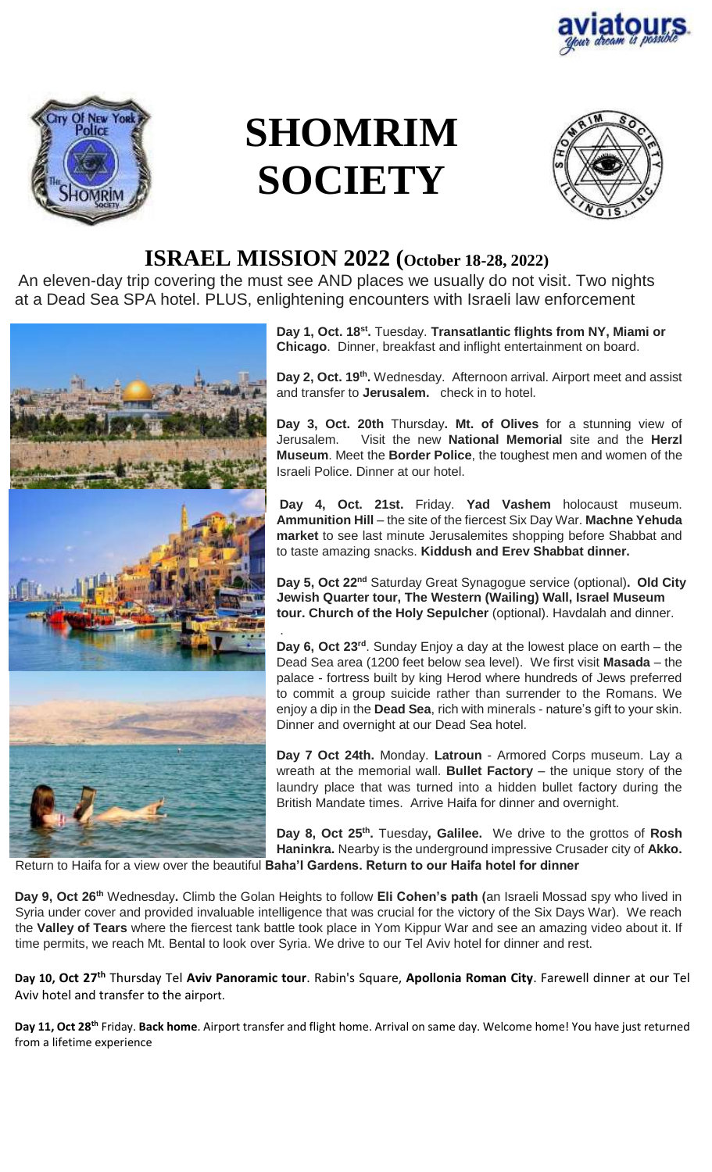



# **SHOMRIM SOCIETY**



## **ISRAEL MISSION 2022 (October 18-28, 2022)**

An eleven-day trip covering the must see AND places we usually do not visit. Two nights at a Dead Sea SPA hotel. PLUS, enlightening encounters with Israeli law enforcement

.



**Day 1, Oct. 18st .** Tuesday. **Transatlantic flights from NY, Miami or Chicago**. Dinner, breakfast and inflight entertainment on board.

Day 2, Oct. 19<sup>th</sup>. Wednesday. Afternoon arrival. Airport meet and assist and transfer to **Jerusalem.** check in to hotel.

**Day 3, Oct. 20th** Thursday**. Mt. of Olives** for a stunning view of Jerusalem. Visit the new **National Memorial** site and the **Herzl Museum**. Meet the **Border Police**, the toughest men and women of the Israeli Police. Dinner at our hotel.

**Day 4, Oct. 21st.** Friday. **Yad Vashem** holocaust museum. **Ammunition Hill** – the site of the fiercest Six Day War. **Machne Yehuda market** to see last minute Jerusalemites shopping before Shabbat and to taste amazing snacks. **Kiddush and Erev Shabbat dinner.**

**Day 5, Oct 22nd** Saturday Great Synagogue service (optional)**. Old City Jewish Quarter tour, The Western (Wailing) Wall, Israel Museum tour. Church of the Holy Sepulcher** (optional). Havdalah and dinner.

**Day 6, Oct 23rd**. Sunday Enjoy a day at the lowest place on earth – the Dead Sea area (1200 feet below sea level). We first visit **Masada** – the palace - fortress built by king Herod where hundreds of Jews preferred to commit a group suicide rather than surrender to the Romans. We enjoy a dip in the **Dead Sea**, rich with minerals - nature's gift to your skin. Dinner and overnight at our Dead Sea hotel.

**Day 7 Oct 24th.** Monday. **Latroun** - Armored Corps museum. Lay a wreath at the memorial wall. **Bullet Factory** – the unique story of the laundry place that was turned into a hidden bullet factory during the British Mandate times. Arrive Haifa for dinner and overnight.

**Day 8, Oct 25th .** Tuesday**, Galilee.** We drive to the grottos of **Rosh Haninkra.** Nearby is the underground impressive Crusader city of **Akko.** Return to Haifa for a view over the beautiful **Baha'I Gardens. Return to our Haifa hotel for dinner** 

**Day 9, Oct 26th** Wednesday**.** Climb the Golan Heights to follow **Eli Cohen's path (**an Israeli Mossad spy who lived in Syria under cover and provided invaluable intelligence that was crucial for the victory of the Six Days War). We reach the **Valley of Tears** where the fiercest tank battle took place in Yom Kippur War and see an amazing video about it. If time permits, we reach Mt. Bental to look over Syria. We drive to our Tel Aviv hotel for dinner and rest.

Day 10, Oct 27<sup>th</sup> Thursday Tel Aviv Panoramic tour. Rabin's Square, Apollonia Roman City. Farewell dinner at our Tel Aviv hotel and transfer to the airport.

Day 11, Oct 28<sup>th</sup> Friday. Back home. Airport transfer and flight home. Arrival on same day. Welcome home! You have just returned from a lifetime experience